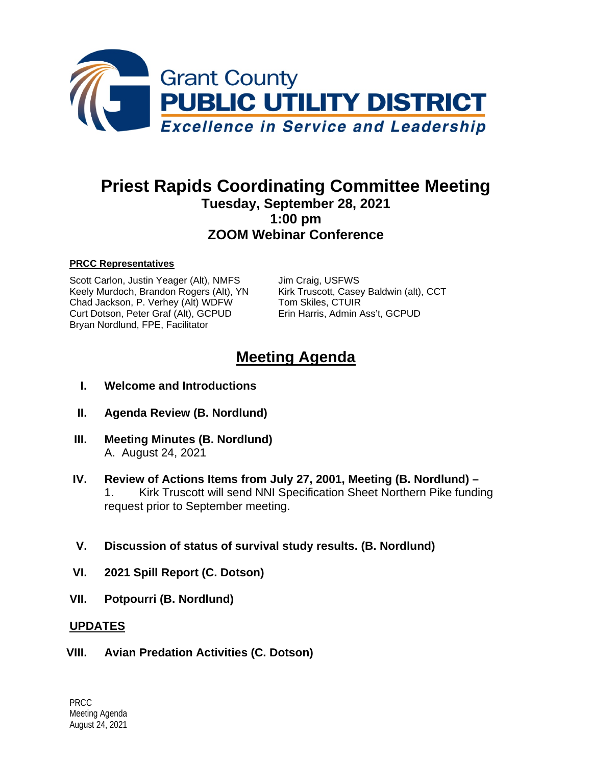

# **Priest Rapids Coordinating Committee Meeting Tuesday, September 28, 2021 1:00 pm ZOOM Webinar Conference**

#### **PRCC Representatives**

Scott Carlon, Justin Yeager (Alt), NMFS Jim Craig, USFWS<br>
Keely Murdoch, Brandon Rogers (Alt), YN Kirk Truscott, Casey Baldwin (alt), CCT Keely Murdoch, Brandon Rogers (Alt), YN Kirk Truscott, Casey<br>Chad Jackson, P. Verhey (Alt) WDFW Tom Skiles, CTUIR Chad Jackson, P. Verhey (Alt) WDFW Curt Dotson, Peter Graf (Alt), GCPUD Erin Harris, Admin Ass't, GCPUD Bryan Nordlund, FPE, Facilitator

# **Meeting Agenda**

- **I. Welcome and Introductions**
- **II. Agenda Review (B. Nordlund)**
- **III. Meeting Minutes (B. Nordlund)** A. August 24, 2021
- **IV. Review of Actions Items from July 27, 2001, Meeting (B. Nordlund) –** 1. Kirk Truscott will send NNI Specification Sheet Northern Pike funding request prior to September meeting.
- **V. Discussion of status of survival study results. (B. Nordlund)**
- **VI. 2021 Spill Report (C. Dotson)**
- **VII. Potpourri (B. Nordlund)**

#### **UPDATES**

**VIII. Avian Predation Activities (C. Dotson)**

PRCC Meeting Agenda August 24, 2021